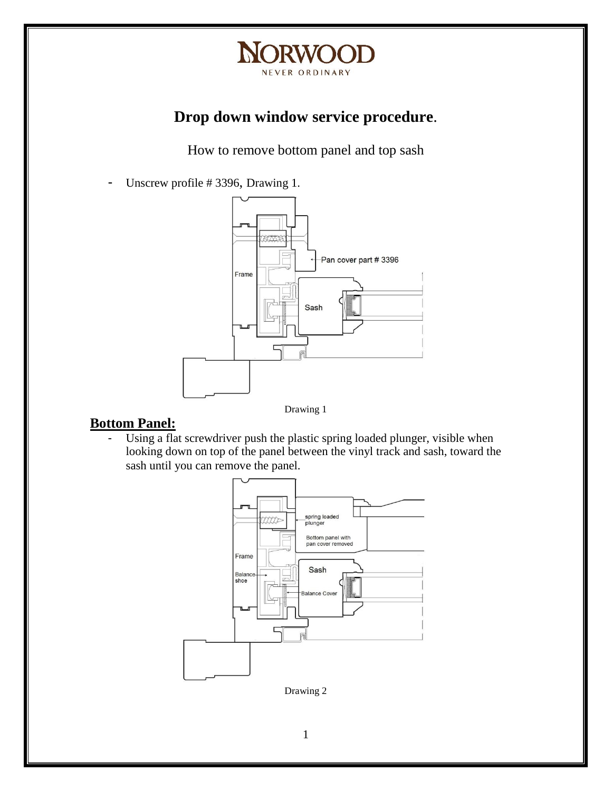

## **Drop down window service procedure**.

How to remove bottom panel and top sash

- Unscrew profile # 3396, Drawing 1.



## **Bottom Panel:**

- Using a flat screwdriver push the plastic spring loaded plunger, visible when looking down on top of the panel between the vinyl track and sash, toward the sash until you can remove the panel.



Drawing 2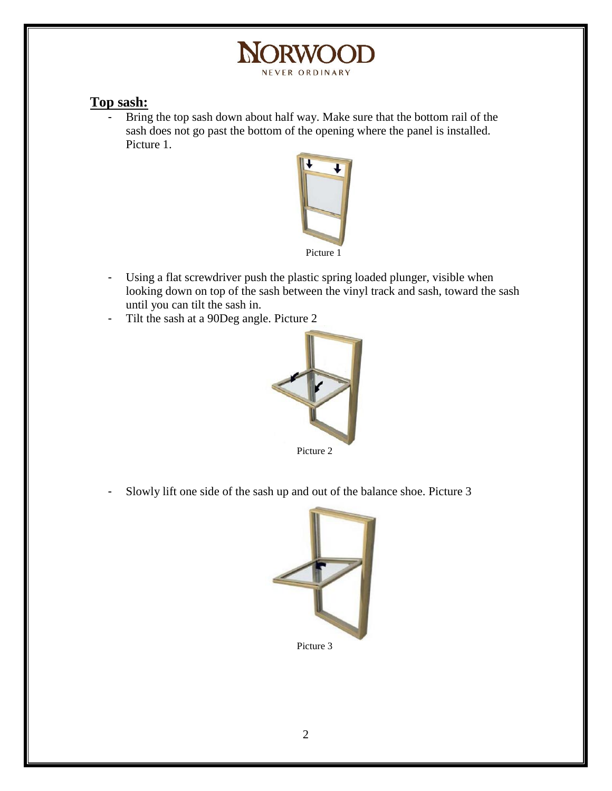## ORWOOD NEVER ORDINARY

## **Top sash:**

Bring the top sash down about half way. Make sure that the bottom rail of the sash does not go past the bottom of the opening where the panel is installed. Picture 1.



- Using a flat screwdriver push the plastic spring loaded plunger, visible when looking down on top of the sash between the vinyl track and sash, toward the sash until you can tilt the sash in.
- Tilt the sash at a 90Deg angle. Picture 2



- Slowly lift one side of the sash up and out of the balance shoe. Picture 3



Picture 3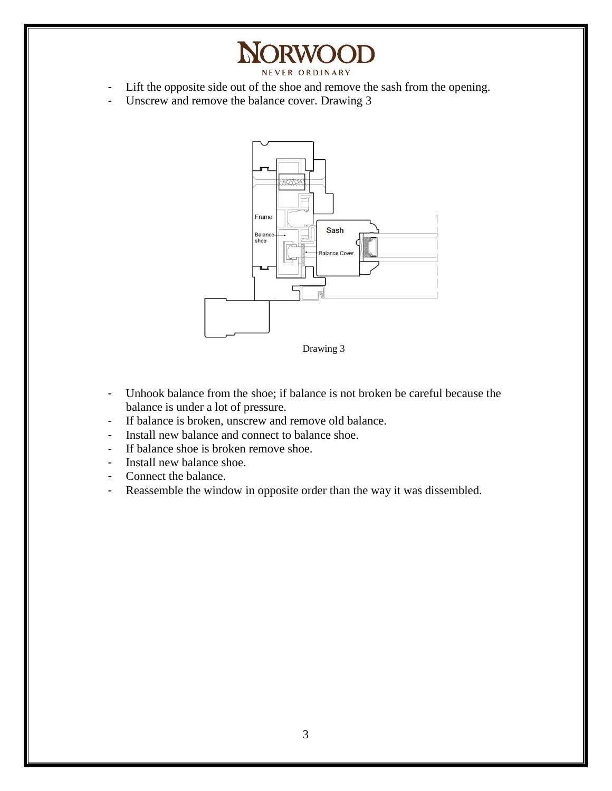**NORWOOD** NEVER ORDINARY

- Lift the opposite side out of the shoe and remove the sash from the opening.
- Unscrew and remove the balance cover. Drawing 3



Drawing 3

- Unhook balance from the shoe; if balance is not broken be careful because the balance is under a lot of pressure.
- If balance is broken, unscrew and remove old balance.
- Install new balance and connect to balance shoe.
- If balance shoe is broken remove shoe.
- Install new balance shoe.
- Connect the balance.
- Reassemble the window in opposite order than the way it was dissembled.